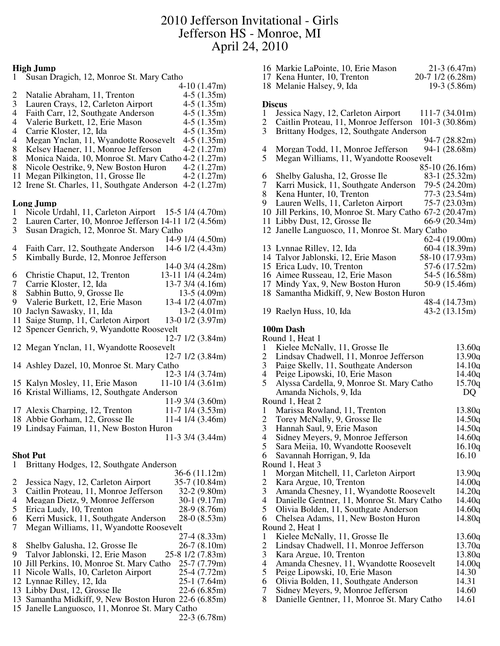## **High Jump**

| 1                        | Susan Dragich, 12, Monroe St. Mary Catho              |                        |  |
|--------------------------|-------------------------------------------------------|------------------------|--|
|                          |                                                       | $4-10(1.47m)$          |  |
| 2                        | Natalie Abraham, 11, Trenton                          | $4-5(1.35m)$           |  |
| 3                        | Lauren Crays, 12, Carleton Airport                    | $4-5(1.35m)$           |  |
| $\overline{4}$           | Faith Carr, 12, Southgate Anderson                    | $4-5(1.35m)$           |  |
| 4                        | Valerie Burkett, 12, Erie Mason                       | $4-5(1.35m)$           |  |
| 4                        | Carrie Kloster, 12, Ida                               | $4-5(1.35m)$           |  |
| $\overline{\mathcal{A}}$ | Megan Ynclan, 11, Wyandotte Roosevelt                 | $4-5(1.35m)$           |  |
| 8                        | Kelsey Haener, 11, Monroe Jefferson                   | $4-2(1.27m)$           |  |
| 8                        | Monica Naida, 10, Monroe St. Mary Catho 4-2 (1.27m)   |                        |  |
|                          |                                                       |                        |  |
| 8                        | Nicole Oestrike, 9, New Boston Huron                  | $4-2(1.27m)$           |  |
| 11                       | Megan Pilkington, 11, Grosse Ile                      | $4-2(1.27m)$           |  |
|                          | 12 Irene St. Charles, 11, Southgate Anderson          | $4-2(1.27m)$           |  |
|                          |                                                       |                        |  |
|                          | Long Jump                                             |                        |  |
| 1                        | Nicole Urdahl, 11, Carleton Airport                   | 15-5 1/4 (4.70m)       |  |
| $\overline{\mathbf{c}}$  | Lauren Carter, 10, Monroe Jefferson 14-11 1/2 (4.56m) |                        |  |
| $\overline{3}$           | Susan Dragich, 12, Monroe St. Mary Catho              |                        |  |
|                          |                                                       | 14-9 1/4 (4.50m)       |  |
| 4                        | Faith Carr, 12, Southgate Anderson                    | 14-6 1/2 (4.43m)       |  |
| 5                        | Kimbally Burde, 12, Monroe Jefferson                  |                        |  |
|                          |                                                       | 14-0 3/4 (4.28m)       |  |
| 6                        | Christie Chaput, 12, Trenton                          | 13-11 1/4 (4.24m)      |  |
| 7                        | Carrie Kloster, 12, Ida                               | 13-7 3/4 (4.16m)       |  |
| 8                        | Sabhin Butto, 9, Grosse Ile                           | $13-5(4.09m)$          |  |
| 9                        | Valerie Burkett, 12, Erie Mason                       | 13-4 1/2 (4.07m)       |  |
|                          |                                                       |                        |  |
| 10                       | Jaclyn Sawasky, 11, Ida                               | $13-2(4.01m)$          |  |
| 11                       | Saige Stump, 11, Carleton Airport                     | 13-0 1/2 (3.97m)       |  |
| 12                       | Spencer Genrich, 9, Wyandotte Roosevelt               |                        |  |
|                          |                                                       | 12-7 1/2 (3.84m)       |  |
|                          | 12 Megan Ynclan, 11, Wyandotte Roosevelt              |                        |  |
|                          |                                                       | 12-7 1/2 (3.84m)       |  |
|                          | 14 Ashley Dazel, 10, Monroe St. Mary Catho            |                        |  |
|                          |                                                       | 12-3 1/4 (3.74m)       |  |
|                          | 15 Kalyn Mosley, 11, Erie Mason                       | $11-10$ 1/4 (3.61m)    |  |
|                          | 16 Kristal Williams, 12, Southgate Anderson           |                        |  |
|                          |                                                       | 11-9 3/4 (3.60m)       |  |
|                          | 17 Alexis Charping, 12, Trenton                       | 11-7 1/4 (3.53m)       |  |
|                          | 18 Abbie Gorham, 12, Grosse Ile                       | $11-4$ $1/4$ $(3.46m)$ |  |
|                          | 19 Lindsay Faiman, 11, New Boston Huron               |                        |  |
|                          |                                                       | 11-3 3/4 (3.44m)       |  |
|                          |                                                       |                        |  |
|                          | <b>Shot Put</b>                                       |                        |  |
| 1                        | Brittany Hodges, 12, Southgate Anderson               |                        |  |
|                          |                                                       | $36-6(11.12m)$         |  |
| $\overline{\mathbf{c}}$  | Jessica Nagy, 12, Carleton Airport                    | 35-7 (10.84m)          |  |
| 3                        | Caitlin Proteau, 11, Monroe Jefferson                 | $32-2(9.80m)$          |  |
| $\overline{\mathcal{A}}$ | Meagan Dietz, 9, Monroe Jefferson                     | $30-1(9.17m)$          |  |
|                          |                                                       |                        |  |
| 5                        | Erica Ludy, 10, Trenton                               | 28-9 (8.76m)           |  |
| 6                        | Kerri Musick, 11, Southgate Anderson                  | $28-0(8.53m)$          |  |
| $\overline{7}$           | Megan Williams, 11, Wyandotte Roosevelt               |                        |  |
|                          |                                                       | $27-4(8.33m)$          |  |
| 8                        | Shelby Galusha, 12, Grosse Ile                        | $26-7(8.10m)$          |  |
| 9                        | Talyor Jablonski, 12, Erie Mason                      | 25-8 1/2 (7.83m)       |  |
| 10                       | Jill Perkins, 10, Monroe St. Mary Catho               | 25-7 (7.79m)           |  |
|                          | 11 Nicole Walls, 10, Carleton Airport                 | 25-4 (7.72m)           |  |
|                          | 12 Lynnae Rilley, 12, Ida                             | 25-1 (7.64m)           |  |
|                          | 13 Libby Dust, 12, Grosse Ile                         | $22-6(6.85m)$          |  |
|                          | 13 Samantha Midkiff, 9, New Boston Huron 22-6 (6.85m) |                        |  |
|                          | 15 Janelle Languosco, 11, Monroe St. Mary Catho       |                        |  |
|                          |                                                       | $22-3(6.78m)$          |  |
|                          |                                                       |                        |  |

|                          | 17 Kena Hunter, 10, Trenton                                                       | 20-7 1/2 (6.28m) |
|--------------------------|-----------------------------------------------------------------------------------|------------------|
|                          | 18 Melanie Halsey, 9, Ida                                                         | 19-3 (5.86m)     |
|                          |                                                                                   |                  |
|                          | <b>Discus</b>                                                                     |                  |
| 1                        | Jessica Nagy, 12, Carleton Airport                                                | $111-7(34.01m)$  |
| $\overline{c}$           | Caitlin Proteau, 11, Monroe Jefferson                                             | 101-3 (30.86m)   |
| 3                        | Brittany Hodges, 12, Southgate Anderson                                           |                  |
|                          |                                                                                   | 94-7 (28.82m)    |
| 4                        | Morgan Todd, 11, Monroe Jefferson                                                 | 94-1 (28.68m)    |
| 5                        | Megan Williams, 11, Wyandotte Roosevelt                                           |                  |
|                          |                                                                                   | 85-10 (26.16m)   |
| 6                        | Shelby Galusha, 12, Grosse Ile                                                    | 83-1 (25.32m)    |
| 7                        | Karri Musick, 11, Southgate Anderson                                              | 79-5 (24.20m)    |
| 8                        | Kena Hunter, 10, Trenton                                                          | 77-3 (23.54m)    |
| 9                        | Lauren Wells, 11, Carleton Airport                                                | $75-7(23.03m)$   |
|                          | 10 Jill Perkins, 10, Monroe St. Mary Catho 67-2 (20.47m)                          |                  |
|                          | 11 Libby Dust, 12, Grosse Ile                                                     | 66-9 (20.34m)    |
|                          | 12 Janelle Languosco, 11, Monroe St. Mary Catho                                   |                  |
|                          |                                                                                   | $62-4(19.00m)$   |
|                          | 13 Lynnae Rilley, 12, Ida                                                         | 60-4 (18.39m)    |
|                          | 14 Talyor Jablonski, 12, Erie Mason                                               | 58-10 (17.93m)   |
|                          | 15 Erica Ludy, 10, Trenton                                                        | 57-6 (17.52m)    |
|                          |                                                                                   |                  |
|                          | 16 Aimee Russeau, 12, Erie Mason                                                  | 54-5 (16.58m)    |
|                          | 17 Mindy Yax, 9, New Boston Huron                                                 | 50-9 (15.46m)    |
|                          | 18 Samantha Midkiff, 9, New Boston Huron                                          |                  |
|                          |                                                                                   | 48-4 (14.73m)    |
|                          | 19 Raelyn Huss, 10, Ida                                                           | $43-2(13.15m)$   |
|                          |                                                                                   |                  |
|                          | 100m Dash                                                                         |                  |
|                          | Round 1, Heat 1                                                                   |                  |
| 1                        | Kielee McNally, 11, Grosse Ile                                                    | 13.60q           |
| $\overline{c}$           | Lindsay Chadwell, 11, Monroe Jefferson                                            | 13.90q           |
| 3                        | Paige Skelly, 11, Southgate Anderson                                              | 14.10q           |
| $\overline{\mathcal{A}}$ | Peige Lipowski, 10, Erie Mason                                                    | 14.40q           |
| 5                        | Alyssa Cardella, 9, Monroe St. Mary Catho                                         | 15.70q           |
|                          | Amanda Nichols, 9, Ida                                                            | DQ               |
|                          | Round 1, Heat 2                                                                   |                  |
| $\mathbf{1}$             | Marissa Rowland, 11, Trenton                                                      | 13.80q           |
| $\overline{c}$           | Torey McNally, 9, Grosse Ile                                                      | 14.50q           |
| 3                        | Hannah Saul, 9, Erie Mason                                                        | 14.50q           |
| 4                        | Sidney Meyers, 9, Monroe Jefferson                                                | 14.60q           |
| 5                        | Sara Meija, 10, Wyandotte Roosevelt                                               | 16.10q           |
| 6                        | Savannah Horrigan, 9, Ida                                                         | 16.10            |
|                          | Round 1, Heat 3                                                                   |                  |
| $\mathbf{1}$             | Morgan Mitchell, 11, Carleton Airport                                             | 13.90q           |
| $\overline{c}$           | Kara Argue, 10, Trenton                                                           | 14.00q           |
| $\mathfrak{Z}$           | Amanda Chesney, 11, Wyandotte Roosevelt                                           | 14.20q           |
| 4                        | Danielle Gentner, 11, Monroe St. Mary Catho                                       | 14.40q           |
| 5                        | Olivia Bolden, 11, Southgate Anderson                                             | 14.60q           |
| 6                        | Chelsea Adams, 11, New Boston Huron                                               | 14.80q           |
|                          | Round 2, Heat 1                                                                   |                  |
|                          |                                                                                   |                  |
| $\mathbf{1}$             | Kielee McNally, 11, Grosse Ile                                                    | 13.60q           |
| $\overline{c}$           | Lindsay Chadwell, 11, Monroe Jefferson                                            | 13.70q           |
| 3                        | Kara Argue, 10, Trenton                                                           | 13.80q           |
| $\overline{\mathcal{A}}$ | Amanda Chesney, 11, Wyandotte Roosevelt                                           | 14.00q           |
| 5                        |                                                                                   |                  |
|                          | Peige Lipowski, 10, Erie Mason                                                    | 14.30            |
| 6                        | Olivia Bolden, 11, Southgate Anderson                                             | 14.31            |
| 7<br>8                   | Sidney Meyers, 9, Monroe Jefferson<br>Danielle Gentner, 11, Monroe St. Mary Catho | 14.60<br>14.61   |

Markie LaPointe, 10, Erie Mason 21-3 (6.47m)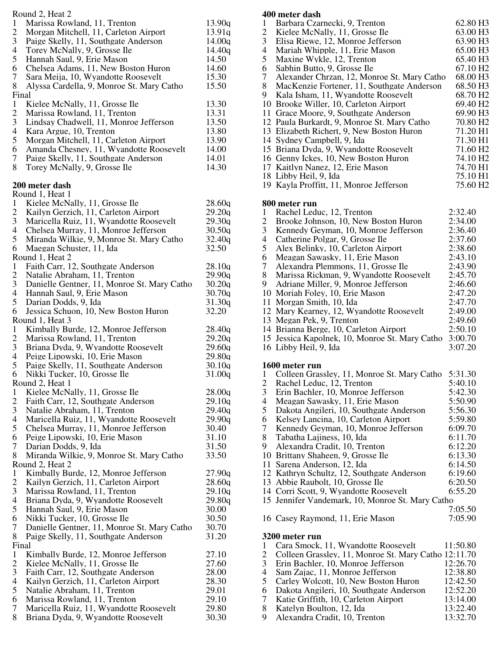|                          | Round 2, Heat 2                                                                 |                  |
|--------------------------|---------------------------------------------------------------------------------|------------------|
| 1                        | Marissa Rowland, 11, Trenton                                                    | 13.90q           |
| $\overline{c}$<br>3      | Morgan Mitchell, 11, Carleton Airport                                           | 13.91q           |
| 4                        | Paige Skelly, 11, Southgate Anderson<br>Torey McNally, 9, Grosse Ile            | 14.00q<br>14.40q |
| 5                        | Hannah Saul, 9, Erie Mason                                                      | 14.50            |
| 6                        | Chelsea Adams, 11, New Boston Huron                                             | 14.60            |
| $\tau$                   | Sara Meija, 10, Wyandotte Roosevelt                                             | 15.30            |
| 8                        | Alyssa Cardella, 9, Monroe St. Mary Catho                                       | 15.50            |
| Final                    |                                                                                 |                  |
| 1                        | Kielee McNally, 11, Grosse Ile                                                  | 13.30            |
| $\overline{2}$           | Marissa Rowland, 11, Trenton                                                    | 13.31            |
| 3                        | Lindsay Chadwell, 11, Monroe Jefferson                                          | 13.50            |
| $\overline{\mathcal{A}}$ | Kara Argue, 10, Trenton                                                         | 13.80            |
| 5                        | Morgan Mitchell, 11, Carleton Airport                                           | 13.90            |
| 6<br>7                   | Amanda Chesney, 11, Wyandotte Roosevelt<br>Paige Skelly, 11, Southgate Anderson | 14.00<br>14.01   |
| 8                        | Torey McNally, 9, Grosse Ile                                                    | 14.30            |
|                          |                                                                                 |                  |
|                          | 200 meter dash                                                                  |                  |
|                          | Round 1, Heat 1                                                                 |                  |
| $\mathbf{1}$             | Kielee McNally, 11, Grosse Ile                                                  | 28.60q           |
| $\mathbf{2}$             | Kailyn Gerzich, 11, Carleton Airport                                            | 29.20q           |
| 3                        | Maricella Ruiz, 11, Wyandotte Roosevelt                                         | 29.30q           |
| $\overline{\mathcal{A}}$ | Chelsea Murray, 11, Monroe Jefferson                                            | 30.50q           |
| 5<br>6                   | Miranda Wilkie, 9, Monroe St. Mary Catho                                        | 32.40q<br>32.50  |
|                          | Maegan Schuster, 11, Ida<br>Round 1, Heat 2                                     |                  |
| 1                        | Faith Carr, 12, Southgate Anderson                                              | 28.10q           |
| $\mathbf{2}$             | Natalie Abraham, 11, Trenton                                                    | 29.90q           |
| 3                        | Danielle Gentner, 11, Monroe St. Mary Catho                                     | 30.20q           |
| $\overline{4}$           | Hannah Saul, 9, Erie Mason                                                      | 30.70q           |
| 5                        | Darian Dodds, 9, Ida                                                            | 31.30q           |
| 6                        | Jessica Schuon, 10, New Boston Huron                                            | 32.20            |
|                          | Round 1, Heat 3                                                                 |                  |
| $\mathbf{1}$             | Kimbally Burde, 12, Monroe Jefferson                                            | 28.40q           |
| $\mathbf{2}$<br>3        | Marissa Rowland, 11, Trenton                                                    | 29.20q           |
| $\overline{4}$           | Briana Dyda, 9, Wyandotte Roosevelt<br>Peige Lipowski, 10, Erie Mason           | 29.60q<br>29.80q |
| 5                        | Paige Skelly, 11, Southgate Anderson                                            | 30.10q           |
| 6                        | Nikki Tucker, 10, Grosse Ile                                                    | 31.00q           |
|                          | Round 2, Heat 1                                                                 |                  |
| 1                        | Kielee McNally, 11, Grosse Ile                                                  | 28.00q           |
| $\overline{c}$           | Faith Carr, 12, Southgate Anderson                                              | 29.10q           |
| 3                        | Natalie Abraham, 11, Trenton                                                    | 29.40q           |
| 4                        | Maricella Ruiz, 11, Wyandotte Roosevelt                                         | 29.90q           |
| 5                        | Chelsea Murray, 11, Monroe Jefferson                                            | 30.40            |
| 6                        | Peige Lipowski, 10, Erie Mason                                                  | 31.10            |
| 7                        | Darian Dodds, 9, Ida                                                            | 31.50            |
| 8                        | Miranda Wilkie, 9, Monroe St. Mary Catho                                        | 33.50            |
| $\mathbf{1}$             | Round 2, Heat 2<br>Kimbally Burde, 12, Monroe Jefferson                         | 27.90q           |
| $\overline{c}$           | Kailyn Gerzich, 11, Carleton Airport                                            | 28.60q           |
| 3                        | Marissa Rowland, 11, Trenton                                                    | 29.10q           |
| 4                        | Briana Dyda, 9, Wyandotte Roosevelt                                             | 29.80q           |
| 5                        | Hannah Saul, 9, Erie Mason                                                      | 30.00            |
| 6                        | Nikki Tucker, 10, Grosse Ile                                                    | 30.50            |
| 7                        | Danielle Gentner, 11, Monroe St. Mary Catho                                     | 30.70            |
| 8                        | Paige Skelly, 11, Southgate Anderson                                            | 31.20            |
| Final                    |                                                                                 |                  |
| $\mathbf{1}$             | Kimbally Burde, 12, Monroe Jefferson                                            | 27.10            |
| $\overline{c}$           | Kielee McNally, 11, Grosse Ile                                                  | 27.60            |
| 3<br>4                   | Faith Carr, 12, Southgate Anderson                                              | 28.00            |
| 5                        | Kailyn Gerzich, 11, Carleton Airport<br>Natalie Abraham, 11, Trenton            | 28.30<br>29.01   |
| 6                        | Marissa Rowland, 11, Trenton                                                    | 29.10            |
| 7                        | Maricella Ruiz, 11, Wyandotte Roosevelt                                         | 29.80            |
| 8                        | Briana Dyda, 9, Wyandotte Roosevelt                                             | 30.30            |
|                          |                                                                                 |                  |

## **400 meter dash**

| Barbara Czarnecki, 9, Trenton<br>$\mathbf{1}$<br>$\overline{c}$<br>Kielee McNally, 11, Grosse Ile<br>3<br>Elisa Riewe, 12, Monroe Jefferson<br>$\overline{4}$<br>Mariah Whipple, 11, Erie Mason<br>5<br>Maxine Wykle, 12, Trenton<br>6<br>Sabhin Butto, 9, Grosse Ile<br>7<br>Alexander Chrzan, 12, Monroe St. Mary Catho<br>8<br>MacKenzie Fortener, 11, Southgate Anderson<br>9<br>Kala Isham, 11, Wyandotte Roosevelt<br>10 Brooke Willer, 10, Carleton Airport<br>11 Grace Moore, 9, Southgate Anderson<br>12 Paula Burkardt, 9, Monroe St. Mary Catho<br>13 Elizabeth Richert, 9, New Boston Huron<br>14 Sydney Campbell, 9, Ida<br>15 Briana Dyda, 9, Wyandotte Roosevelt           | 62.80 H3<br>63.00 H3<br>63.90 H3<br>65.00 H3<br>65.40 H3<br>67.10 H <sub>2</sub><br>68.00 H <sub>3</sub><br>68.50 H3<br>68.70 H <sub>2</sub><br>69.40 H <sub>2</sub><br>69.90 H3<br>70.80 H <sub>2</sub><br>71.20 H1<br>71.30 H1<br>71.60 H <sub>2</sub> |
|-------------------------------------------------------------------------------------------------------------------------------------------------------------------------------------------------------------------------------------------------------------------------------------------------------------------------------------------------------------------------------------------------------------------------------------------------------------------------------------------------------------------------------------------------------------------------------------------------------------------------------------------------------------------------------------------|----------------------------------------------------------------------------------------------------------------------------------------------------------------------------------------------------------------------------------------------------------|
| 16 Genny Ickes, 10, New Boston Huron<br>17 Kaitlyn Nanez, 12, Erie Mason<br>18 Libby Heil, 9, Ida<br>19 Kayla Proffitt, 11, Monroe Jefferson                                                                                                                                                                                                                                                                                                                                                                                                                                                                                                                                              | 74.10 H <sub>2</sub><br>74.70 H1<br>75.10 H1<br>75.60 H <sub>2</sub>                                                                                                                                                                                     |
| 800 meter run<br>1<br>Rachel Leduc, 12, Trenton<br>$\overline{c}$<br>Brooke Johnson, 10, New Boston Huron<br>3<br>Kennedy Geyman, 10, Monroe Jefferson<br>4<br>Catherine Polgar, 9, Grosse Ile<br>5<br>Alex Belinky, 10, Carleton Airport<br>6<br>Meagan Sawasky, 11, Erie Mason<br>7<br>Alexandra Plemmons, 11, Grosse Ile<br>8<br>Marissa Rickman, 9, Wyandotte Roosevelt<br>9<br>Adriane Miller, 9, Monroe Jefferson<br>10 Moriah Foley, 10, Erie Mason<br>11 Morgan Smith, 10, Ida<br>12 Mary Kearney, 12, Wyandotte Roosevelt<br>13 Megan Pek, 9, Trenton<br>14 Brianna Berge, 10, Carleton Airport<br>15 Jessica Kapolnek, 10, Monroe St. Mary Catho<br>16 Libby Heil, 9, Ida       | 2:32.40<br>2:34.00<br>2:36.40<br>2:37.60<br>2:38.60<br>2:43.10<br>2:43.90<br>2:45.70<br>2:46.60<br>2:47.20<br>2:47.70<br>2:49.00<br>2:49.60<br>2:50.10<br>3:00.70<br>3:07.20                                                                             |
| 1600 meter run<br>Colleen Grassley, 11, Monroe St. Mary Catho 5:31.30<br>1<br>2 Rachel Leduc, 12, Trenton<br>3<br>Erin Bachler, 10, Monroe Jefferson<br>$\overline{\mathcal{A}}$<br>Meagan Sawasky, 11, Erie Mason<br>5<br>Dakota Angileri, 10, Southgate Anderson<br>6<br>Kelsey Lancina, 10, Carleton Airport<br>7<br>Kennedy Geyman, 10, Monroe Jefferson<br>8<br>Tabatha Lajiness, 10, Ida<br>Alexandra Cradit, 10, Trenton<br>9<br>10 Brittany Shaheen, 9, Grosse Ile<br>11 Sarena Anderson, 12, Ida<br>12 Kathryn Schultz, 12, Southgate Anderson<br>13 Abbie Raubolt, 10, Grosse Ile<br>14 Corri Scott, 9, Wyandotte Roosevelt<br>15 Jennifer Vandemark, 10, Monroe St. Mary Catho | 5:40.10<br>5:42.30<br>5:50.90<br>5:56.30<br>5:59.80<br>6:09.70<br>6:11.70<br>6:12.20<br>6:13.30<br>6:14.50<br>6:19.60<br>6:20.50<br>6:55.20<br>7:05.50                                                                                                   |
| 16 Casey Raymond, 11, Erie Mason                                                                                                                                                                                                                                                                                                                                                                                                                                                                                                                                                                                                                                                          | 7:05.90                                                                                                                                                                                                                                                  |
| 3200 meter run<br>Cara Smock, 11, Wyandotte Roosevelt<br>$\mathbf{1}$<br>$\overline{2}$<br>Colleen Grassley, 11, Monroe St. Mary Catho 12:11.70<br>3<br>Erin Bachler, 10, Monroe Jefferson<br>4<br>Sam Zajac, 11, Monroe Jefferson<br>5<br>Carley Wolcott, 10, New Boston Huron<br>6<br>Dakota Angileri, 10, Southgate Anderson<br>7<br>Katie Griffith, 10, Carleton Airport                                                                                                                                                                                                                                                                                                              | 11:50.80<br>12:26.70<br>12:38.80<br>12:42.50<br>12:52.20<br>13:14.00                                                                                                                                                                                     |

- Katelyn Boulton, 12, Ida 13:22.40
- Alexandra Cradit, 10, Trenton 13:32.70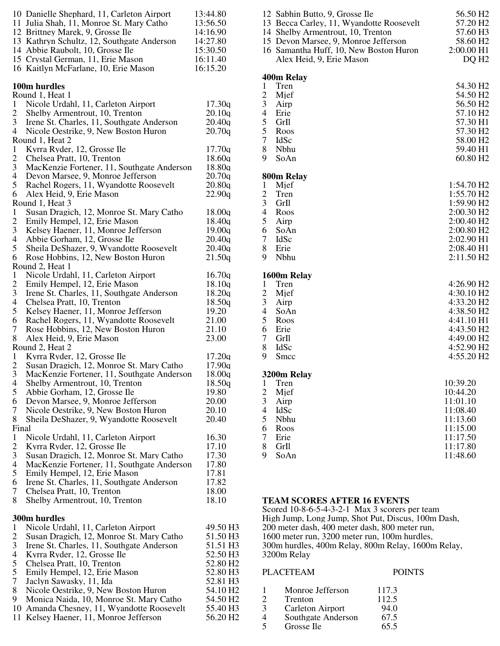|                                | 10 Danielle Shephard, 11, Carleton Airport<br>11 Julia Shah, 11, Monroe St. Mary Catho<br>12 Brittney Marek, 9, Grosse Ile<br>13 Kathryn Schultz, 12, Southgate Anderson<br>14 Abbie Raubolt, 10, Grosse Ile | 13:44.80<br>13:56.50<br>14:16.90<br>14:27.80<br>15:30.50 |
|--------------------------------|--------------------------------------------------------------------------------------------------------------------------------------------------------------------------------------------------------------|----------------------------------------------------------|
|                                | 15 Crystal German, 11, Erie Mason<br>16 Kaitlyn McFarlane, 10, Erie Mason                                                                                                                                    | 16:11.40<br>16:15.20                                     |
|                                | 100m hurdles<br>Round 1, Heat 1                                                                                                                                                                              |                                                          |
| 1                              | Nicole Urdahl, 11, Carleton Airport                                                                                                                                                                          | 17.30q                                                   |
| $\overline{2}$<br>3            | Shelby Armentrout, 10, Trenton<br>Irene St. Charles, 11, Southgate Anderson                                                                                                                                  | 20.10q<br>20.40q                                         |
| 4                              | Nicole Oestrike, 9, New Boston Huron                                                                                                                                                                         | 20.70q                                                   |
|                                | Round 1, Heat 2                                                                                                                                                                                              |                                                          |
| $\mathbf{1}$<br>$\overline{c}$ | Kyrra Ryder, 12, Grosse Ile<br>Chelsea Pratt, 10, Trenton                                                                                                                                                    | 17.70q<br>18.60q                                         |
| 3                              | MacKenzie Fortener, 11, Southgate Anderson                                                                                                                                                                   | 18.80q                                                   |
| 4                              | Devon Marsee, 9, Monroe Jefferson                                                                                                                                                                            | 20.70q                                                   |
| 5                              | Rachel Rogers, 11, Wyandotte Roosevelt                                                                                                                                                                       | 20.80q                                                   |
| 6                              | Alex Heid, 9, Erie Mason<br>Round 1, Heat 3                                                                                                                                                                  | 22.90q                                                   |
| $\mathbf{1}$                   | Susan Dragich, 12, Monroe St. Mary Catho                                                                                                                                                                     | 18.00q                                                   |
| $\overline{c}$                 | Emily Hempel, 12, Erie Mason                                                                                                                                                                                 | 18.40q                                                   |
| 3                              | Kelsey Haener, 11, Monroe Jefferson                                                                                                                                                                          | 19.00q                                                   |
| 4<br>5                         | Abbie Gorham, 12, Grosse Ile<br>Sheila DeShazer, 9, Wyandotte Roosevelt                                                                                                                                      | 20.40q<br>20.40q                                         |
| 6                              | Rose Hobbins, 12, New Boston Huron                                                                                                                                                                           | 21.50q                                                   |
|                                | Round 2, Heat 1                                                                                                                                                                                              |                                                          |
| $\mathbf{1}$                   | Nicole Urdahl, 11, Carleton Airport                                                                                                                                                                          | 16.70q                                                   |
| $\overline{c}$<br>3            | Emily Hempel, 12, Erie Mason<br>Irene St. Charles, 11, Southgate Anderson                                                                                                                                    | 18.10q<br>18.20q                                         |
| 4                              | Chelsea Pratt, 10, Trenton                                                                                                                                                                                   | 18.50q                                                   |
| 5                              | Kelsey Haener, 11, Monroe Jefferson                                                                                                                                                                          | 19.20                                                    |
| 6                              | Rachel Rogers, 11, Wyandotte Roosevelt                                                                                                                                                                       | 21.00                                                    |
| 7<br>8                         | Rose Hobbins, 12, New Boston Huron<br>Alex Heid, 9, Erie Mason                                                                                                                                               | 21.10<br>23.00                                           |
|                                | Round 2, Heat 2                                                                                                                                                                                              |                                                          |
| 1                              | Kyrra Ryder, 12, Grosse Ile                                                                                                                                                                                  | 17.20q                                                   |
| $\overline{2}$                 | Susan Dragich, 12, Monroe St. Mary Catho                                                                                                                                                                     | 17.90q                                                   |
| 3<br>4                         | MacKenzie Fortener, 11, Southgate Anderson<br>Shelby Armentrout, 10, Trenton                                                                                                                                 | 18.00q<br>18.50q                                         |
| 5                              | Abbie Gorham, 12, Grosse Ile                                                                                                                                                                                 | 19.80                                                    |
| 6                              | Devon Marsee, 9, Monroe Jefferson                                                                                                                                                                            | 20.00                                                    |
| 7                              | Nicole Oestrike, 9, New Boston Huron                                                                                                                                                                         | 20.10                                                    |
| 8<br>Final                     | Sheila DeShazer, 9, Wyandotte Roosevelt                                                                                                                                                                      | 20.40                                                    |
| $\mathbf{1}$                   | Nicole Urdahl, 11, Carleton Airport                                                                                                                                                                          | 16.30                                                    |
| $\overline{2}$                 | Kyrra Ryder, 12, Grosse Ile                                                                                                                                                                                  | 17.10                                                    |
| 3                              | Susan Dragich, 12, Monroe St. Mary Catho                                                                                                                                                                     | 17.30                                                    |
| 4<br>5                         | MacKenzie Fortener, 11, Southgate Anderson<br>Emily Hempel, 12, Erie Mason                                                                                                                                   | 17.80<br>17.81                                           |
| 6                              | Irene St. Charles, 11, Southgate Anderson                                                                                                                                                                    | 17.82                                                    |
| 7                              | Chelsea Pratt, 10, Trenton                                                                                                                                                                                   | 18.00                                                    |
| 8                              | Shelby Armentrout, 10, Trenton                                                                                                                                                                               | 18.10                                                    |
|                                | 300m hurdles                                                                                                                                                                                                 |                                                          |
| $\mathbf{1}$                   | Nicole Urdahl, 11, Carleton Airport                                                                                                                                                                          | 49.50 H3                                                 |
| $\overline{\mathbf{c}}$        | Susan Dragich, 12, Monroe St. Mary Catho                                                                                                                                                                     | 51.50 H3                                                 |
| 3<br>$\overline{4}$            | Irene St. Charles, 11, Southgate Anderson<br>Kyrra Ryder, 12, Grosse Ile                                                                                                                                     | 51.51 H3<br>52.50 H3                                     |
| 5                              | Chelsea Pratt, 10, Trenton                                                                                                                                                                                   | 52.80 H <sub>2</sub>                                     |
| 5                              | Emily Hempel, 12, Erie Mason                                                                                                                                                                                 | 52.80 H3                                                 |
| $\overline{7}$                 | Jaclyn Sawasky, 11, Ida                                                                                                                                                                                      | 52.81 H3                                                 |
| 8<br>9                         | Nicole Oestrike, 9, New Boston Huron<br>Monica Naida, 10, Monroe St. Mary Catho                                                                                                                              | 54.10 H <sub>2</sub><br>54.50 H <sub>2</sub>             |
|                                | 10 Amanda Chesney, 11, Wyandotte Roosevelt                                                                                                                                                                   | 55.40 H3                                                 |
|                                | 11 Kelsey Haener, 11, Monroe Jefferson                                                                                                                                                                       | 56.20 H <sub>2</sub>                                     |
|                                |                                                                                                                                                                                                              |                                                          |

| 12 Sabhin Butto, 9, Grosse Ile<br>13 Becca Carley, 11, Wyandotte Roosevelt<br>14 Shelby Armentrout, 10, Trenton<br>15 Devon Marsee, 9, Monroe Jefferson<br>16 Samantha Huff, 10, New Boston Huron<br>Alex Heid, 9, Erie Mason | 56.50 H <sub>2</sub><br>57.20 H <sub>2</sub><br>57.60 H3<br>58.60 H <sub>2</sub><br>2:00.00 H1<br>DQ H <sub>2</sub> |
|-------------------------------------------------------------------------------------------------------------------------------------------------------------------------------------------------------------------------------|---------------------------------------------------------------------------------------------------------------------|
| 400m Relay                                                                                                                                                                                                                    |                                                                                                                     |
| 1<br>Tren                                                                                                                                                                                                                     | 54.30 H <sub>2</sub>                                                                                                |
| $\overline{c}$<br>Mief                                                                                                                                                                                                        | 54.50 H <sub>2</sub>                                                                                                |
| 3<br>Airp                                                                                                                                                                                                                     | 56.50 H <sub>2</sub>                                                                                                |
| $\overline{\mathcal{L}}$<br>Erie                                                                                                                                                                                              | 57.10 H <sub>2</sub>                                                                                                |
| 5<br>GrIl                                                                                                                                                                                                                     | 57.30 H1                                                                                                            |
| 5<br>Roos                                                                                                                                                                                                                     | 57.30 H <sub>2</sub>                                                                                                |
| $\overline{7}$<br>IdSc<br>8<br>Nbhu                                                                                                                                                                                           | 58.00 H <sub>2</sub><br>59.40 H1                                                                                    |
| 9<br>SoAn                                                                                                                                                                                                                     | 60.80 H <sub>2</sub>                                                                                                |
|                                                                                                                                                                                                                               |                                                                                                                     |
| 800m Relay                                                                                                                                                                                                                    |                                                                                                                     |
| $\mathbf{1}$<br>Mjef                                                                                                                                                                                                          | 1:54.70 H <sub>2</sub>                                                                                              |
| $\overline{\mathbf{c}}$<br>Tren                                                                                                                                                                                               | 1:55.70 H2                                                                                                          |
| 3<br>GrIl                                                                                                                                                                                                                     | 1:59.90 H <sub>2</sub>                                                                                              |
| $\overline{4}$<br>Roos<br>5                                                                                                                                                                                                   | 2:00.30 H2                                                                                                          |
| Airp<br>6<br>SoAn                                                                                                                                                                                                             | 2:00.40 H <sub>2</sub><br>2:00.80 H <sub>2</sub>                                                                    |
| 7<br>IdSc                                                                                                                                                                                                                     | 2:02.90 H1                                                                                                          |
| 8<br>Erie                                                                                                                                                                                                                     | 2:08.40 H1                                                                                                          |
| 9<br>Nbhu                                                                                                                                                                                                                     | 2:11.50 H <sub>2</sub>                                                                                              |
|                                                                                                                                                                                                                               |                                                                                                                     |
| 1600m Relay                                                                                                                                                                                                                   |                                                                                                                     |
| $\mathbf{1}$<br>Tren<br>$\overline{c}$<br>Mjef                                                                                                                                                                                | 4:26.90 H <sub>2</sub><br>4:30.10 H <sub>2</sub>                                                                    |
| 3<br>Airp                                                                                                                                                                                                                     | 4:33.20 H <sub>2</sub>                                                                                              |
| $\overline{4}$<br>SoAn                                                                                                                                                                                                        | 4:38.50 H <sub>2</sub>                                                                                              |
| 5<br>Roos                                                                                                                                                                                                                     | 4:41.10 H1                                                                                                          |
| 6<br>Erie                                                                                                                                                                                                                     | 4:43.50 H <sub>2</sub>                                                                                              |
| 7<br>GrIl                                                                                                                                                                                                                     | 4:49.00 H <sub>2</sub>                                                                                              |
| 8<br><b>IdSc</b>                                                                                                                                                                                                              | 4:52.90 H <sub>2</sub>                                                                                              |
| 9<br>Smcc                                                                                                                                                                                                                     | 4:55.20 H <sub>2</sub>                                                                                              |
| 3200m Relay                                                                                                                                                                                                                   |                                                                                                                     |
| Tren<br>1                                                                                                                                                                                                                     | 10:39.20                                                                                                            |
| $\overline{c}$<br>Mjef                                                                                                                                                                                                        | 10:44.20                                                                                                            |
| 3<br>Airp                                                                                                                                                                                                                     | 11:01.10                                                                                                            |
| $\overline{4}$<br><b>IdSc</b>                                                                                                                                                                                                 | 11:08.40                                                                                                            |
| 5<br>Nbhu                                                                                                                                                                                                                     | 11:13.60                                                                                                            |
| 6<br>Roos                                                                                                                                                                                                                     | 11:15.00                                                                                                            |
| 7<br>Erie                                                                                                                                                                                                                     | 11:17.50                                                                                                            |
| 8<br>GrIl                                                                                                                                                                                                                     | 11:17.80                                                                                                            |
| 9<br>SoAn                                                                                                                                                                                                                     | 11:48.60                                                                                                            |

## **TEAM SCORES AFTER 16 EVENTS**

Scored 10-8-6-5-4-3-2-1 Max 3 scorers per team High Jump, Long Jump, Shot Put, Discus, 100m Dash, 200 meter dash, 400 meter dash, 800 meter run, 1600 meter run, 3200 meter run, 100m hurdles, 300m hurdles, 400m Relay, 800m Relay, 1600m Relay, 3200m Relay

## PLACETEAM POINTS 1 Monroe Jefferson 117.3<br>
2 Trenton 112.5<br>
3 Carleton Airport 94.0 Trenton 112.5<br>Carleton Airport 94.0 3 Carleton Airport 94.0<br>4 Southgate Anderson 67.5 4 Southgate Anderson 67.5<br>5 Grosse Ile 65.5 Grosse Ile